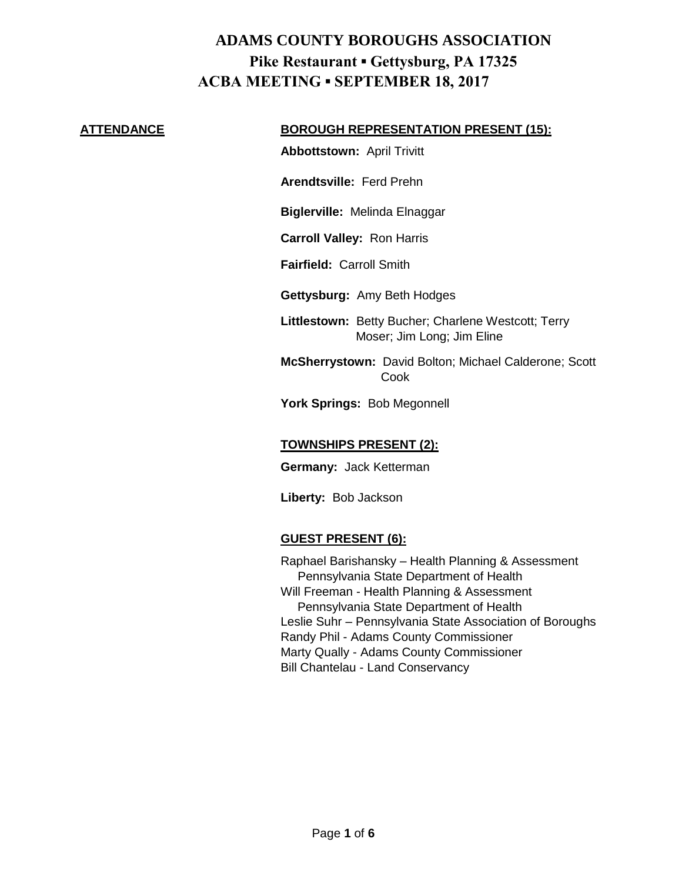#### **ATTENDANCE BOROUGH REPRESENTATION PRESENT (15):**

**Abbottstown:** April Trivitt

**Arendtsville:** Ferd Prehn

**Biglerville:** Melinda Elnaggar

**Carroll Valley:** Ron Harris

**Fairfield:** Carroll Smith

**Gettysburg:** Amy Beth Hodges

**Littlestown:** Betty Bucher; Charlene Westcott; Terry Moser; Jim Long; Jim Eline

**McSherrystown:** David Bolton; Michael Calderone; Scott Cook

**York Springs:** Bob Megonnell

#### **TOWNSHIPS PRESENT (2):**

**Germany:** Jack Ketterman

**Liberty:** Bob Jackson

### **GUEST PRESENT (6):**

Raphael Barishansky – Health Planning & Assessment Pennsylvania State Department of Health Will Freeman - Health Planning & Assessment Pennsylvania State Department of Health Leslie Suhr – Pennsylvania State Association of Boroughs Randy Phil - Adams County Commissioner Marty Qually - Adams County Commissioner Bill Chantelau - Land Conservancy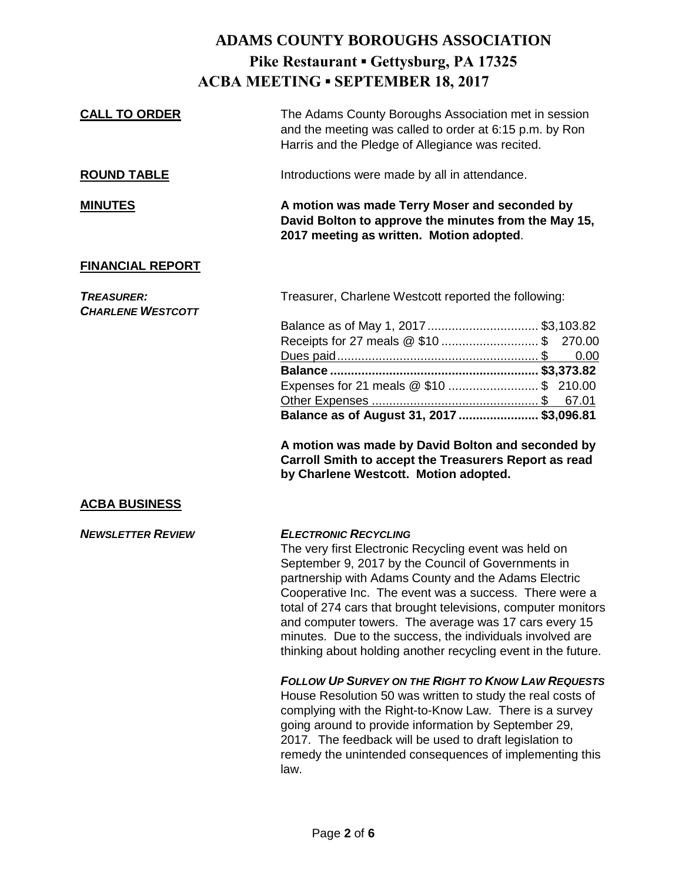| <b>CALL TO ORDER</b>                          | The Adams County Boroughs Association met in session<br>and the meeting was called to order at 6:15 p.m. by Ron<br>Harris and the Pledge of Allegiance was recited.                                                                                                                                                                                                                                                                                                                                                  |
|-----------------------------------------------|----------------------------------------------------------------------------------------------------------------------------------------------------------------------------------------------------------------------------------------------------------------------------------------------------------------------------------------------------------------------------------------------------------------------------------------------------------------------------------------------------------------------|
| <b>ROUND TABLE</b>                            | Introductions were made by all in attendance.                                                                                                                                                                                                                                                                                                                                                                                                                                                                        |
| <b>MINUTES</b>                                | A motion was made Terry Moser and seconded by<br>David Bolton to approve the minutes from the May 15,<br>2017 meeting as written. Motion adopted.                                                                                                                                                                                                                                                                                                                                                                    |
| <b>FINANCIAL REPORT</b>                       |                                                                                                                                                                                                                                                                                                                                                                                                                                                                                                                      |
| <b>TREASURER:</b><br><b>CHARLENE WESTCOTT</b> | Treasurer, Charlene Westcott reported the following:                                                                                                                                                                                                                                                                                                                                                                                                                                                                 |
|                                               | Balance as of May 1, 2017  \$3,103.82<br>270.00<br>0.00<br>Expenses for 21 meals @ \$10  \$ 210.00<br>Balance as of August 31, 2017  \$3,096.81<br>A motion was made by David Bolton and seconded by<br>Carroll Smith to accept the Treasurers Report as read<br>by Charlene Westcott. Motion adopted.                                                                                                                                                                                                               |
| <b>ACBA BUSINESS</b>                          |                                                                                                                                                                                                                                                                                                                                                                                                                                                                                                                      |
| <b>NEWSLETTER REVIEW</b>                      | <b>ELECTRONIC RECYCLING</b><br>The very first Electronic Recycling event was held on<br>September 9, 2017 by the Council of Governments in<br>partnership with Adams County and the Adams Electric<br>Cooperative Inc. The event was a success. There were a<br>total of 274 cars that brought televisions, computer monitors<br>and computer towers. The average was 17 cars every 15<br>minutes. Due to the success, the individuals involved are<br>thinking about holding another recycling event in the future. |
|                                               | <b>FOLLOW UP SURVEY ON THE RIGHT TO KNOW LAW REQUESTS</b><br>House Resolution 50 was written to study the real costs of<br>complying with the Right-to-Know Law. There is a survey<br>going around to provide information by September 29,<br>2017. The feedback will be used to draft legislation to<br>remedy the unintended consequences of implementing this<br>law.                                                                                                                                             |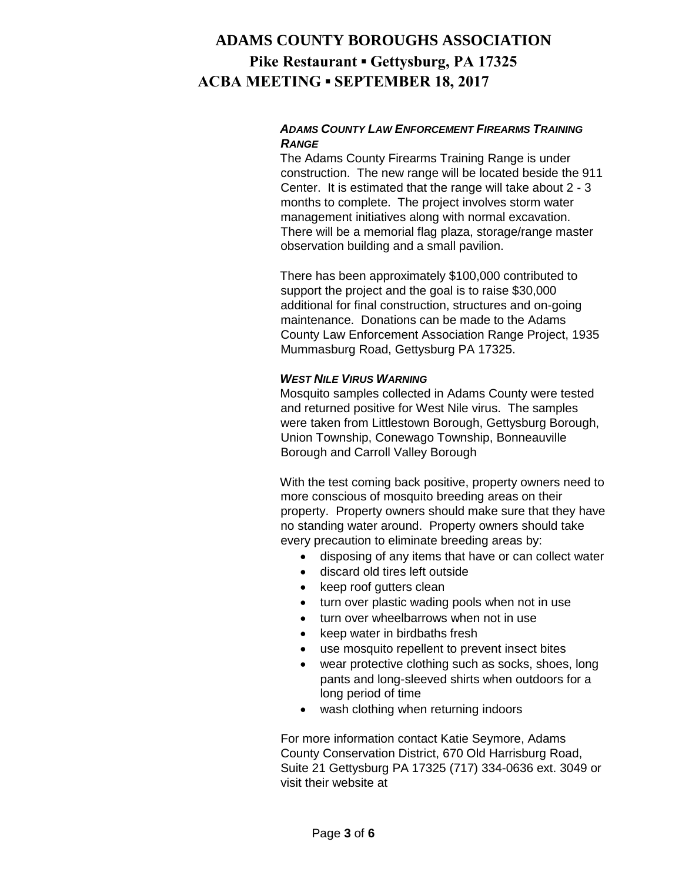### *ADAMS COUNTY LAW ENFORCEMENT FIREARMS TRAINING RANGE*

The Adams County Firearms Training Range is under construction. The new range will be located beside the 911 Center. It is estimated that the range will take about 2 - 3 months to complete. The project involves storm water management initiatives along with normal excavation. There will be a memorial flag plaza, storage/range master observation building and a small pavilion.

There has been approximately \$100,000 contributed to support the project and the goal is to raise \$30,000 additional for final construction, structures and on-going maintenance. Donations can be made to the Adams County Law Enforcement Association Range Project, 1935 Mummasburg Road, Gettysburg PA 17325.

#### *WEST NILE VIRUS WARNING*

Mosquito samples collected in Adams County were tested and returned positive for West Nile virus. The samples were taken from Littlestown Borough, Gettysburg Borough, Union Township, Conewago Township, Bonneauville Borough and Carroll Valley Borough

With the test coming back positive, property owners need to more conscious of mosquito breeding areas on their property. Property owners should make sure that they have no standing water around. Property owners should take every precaution to eliminate breeding areas by:

- disposing of any items that have or can collect water
- discard old tires left outside
- keep roof gutters clean
- turn over plastic wading pools when not in use
- turn over wheelbarrows when not in use
- keep water in birdbaths fresh
- use mosquito repellent to prevent insect bites
- wear protective clothing such as socks, shoes, long pants and long-sleeved shirts when outdoors for a long period of time
- wash clothing when returning indoors

For more information contact Katie Seymore, Adams County Conservation District, 670 Old Harrisburg Road, Suite 21 Gettysburg PA 17325 (717) 334-0636 ext. 3049 or visit their website at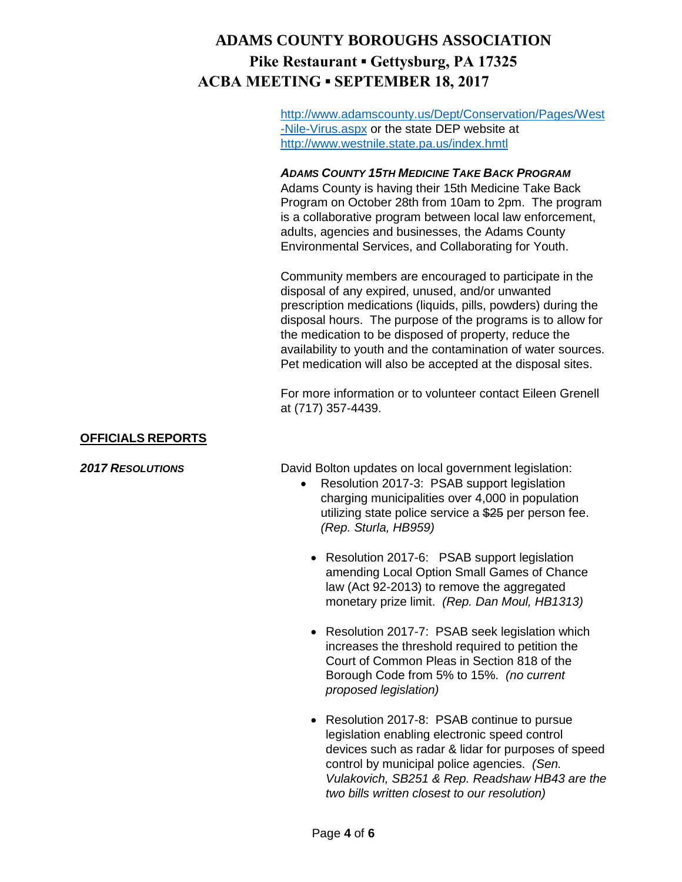[http://www.adamscounty.us/Dept/Conservation/Pages/West](http://www.adamscounty.us/Dept/Conservation/Pages/West-Nile-Virus.aspx) [-Nile-Virus.aspx](http://www.adamscounty.us/Dept/Conservation/Pages/West-Nile-Virus.aspx) or the state DEP website at <http://www.westnile.state.pa.us/index.hmtl>

#### *ADAMS COUNTY 15TH MEDICINE TAKE BACK PROGRAM*

Adams County is having their 15th Medicine Take Back Program on October 28th from 10am to 2pm. The program is a collaborative program between local law enforcement, adults, agencies and businesses, the Adams County Environmental Services, and Collaborating for Youth.

Community members are encouraged to participate in the disposal of any expired, unused, and/or unwanted prescription medications (liquids, pills, powders) during the disposal hours. The purpose of the programs is to allow for the medication to be disposed of property, reduce the availability to youth and the contamination of water sources. Pet medication will also be accepted at the disposal sites.

For more information or to volunteer contact Eileen Grenell at (717) 357-4439.

#### **OFFICIALS REPORTS**

**2017 RESOLUTIONS David Bolton updates on local government legislation:** 

- Resolution 2017-3: PSAB support legislation charging municipalities over 4,000 in population utilizing state police service a \$25 per person fee. *(Rep. Sturla, HB959)*
	- Resolution 2017-6: PSAB support legislation amending Local Option Small Games of Chance law (Act 92-2013) to remove the aggregated monetary prize limit. *(Rep. Dan Moul, HB1313)*
	- Resolution 2017-7: PSAB seek legislation which increases the threshold required to petition the Court of Common Pleas in Section 818 of the Borough Code from 5% to 15%. *(no current proposed legislation)*
	- Resolution 2017-8: PSAB continue to pursue legislation enabling electronic speed control devices such as radar & lidar for purposes of speed control by municipal police agencies. *(Sen. Vulakovich, SB251 & Rep. Readshaw HB43 are the two bills written closest to our resolution)*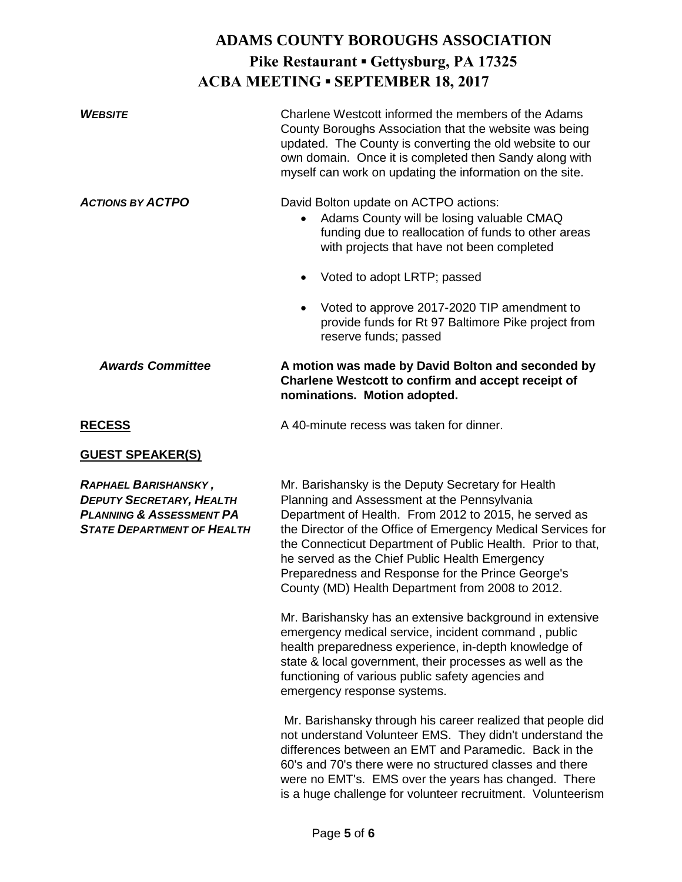| <b>WFBSITE</b>          | Charlene Westcott informed the members of the Adams<br>County Boroughs Association that the website was being<br>updated. The County is converting the old website to our<br>own domain. Once it is completed then Sandy along with<br>myself can work on updating the information on the site. |
|-------------------------|-------------------------------------------------------------------------------------------------------------------------------------------------------------------------------------------------------------------------------------------------------------------------------------------------|
| <b>ACTIONS BY ACTPO</b> | David Bolton update on ACTPO actions:<br>Adams County will be losing valuable CMAQ<br>$\bullet$<br>funding due to reallocation of funds to other areas<br>with projects that have not been completed<br>Voted to adopt LRTP; passed                                                             |
|                         | Voted to approve 2017-2020 TIP amendment to<br>provide funds for Rt 97 Baltimore Pike project from<br>reserve funds; passed                                                                                                                                                                     |
| <b>Awards Committee</b> | A motion was made by David Bolton and seconded by<br>Charlene Westcott to confirm and accept receipt of<br>nominations. Motion adopted.                                                                                                                                                         |
| <b>RECESS</b>           | A 40-minute recess was taken for dinner.                                                                                                                                                                                                                                                        |
| <b>GUEST SPEAKER(S)</b> |                                                                                                                                                                                                                                                                                                 |
|                         |                                                                                                                                                                                                                                                                                                 |

*RAPHAEL BARISHANSKY ,* Mr. Barishansky is the Deputy Secretary for Health *DEPUTY SECRETARY, HEALTH* Planning and Assessment at the Pennsylvania *PLANNING & ASSESSMENT PA* Department of Health. From 2012 to 2015, he served as **STATE DEPARTMENT OF HEALTH** the Director of the Office of Emergency Medical Services for the Connecticut Department of Public Health. Prior to that, he served as the Chief Public Health Emergency Preparedness and Response for the Prince George's County (MD) Health Department from 2008 to 2012.

> Mr. Barishansky has an extensive background in extensive emergency medical service, incident command , public health preparedness experience, in-depth knowledge of state & local government, their processes as well as the functioning of various public safety agencies and emergency response systems.

Mr. Barishansky through his career realized that people did not understand Volunteer EMS. They didn't understand the differences between an EMT and Paramedic. Back in the 60's and 70's there were no structured classes and there were no EMT's. EMS over the years has changed. There is a huge challenge for volunteer recruitment. Volunteerism